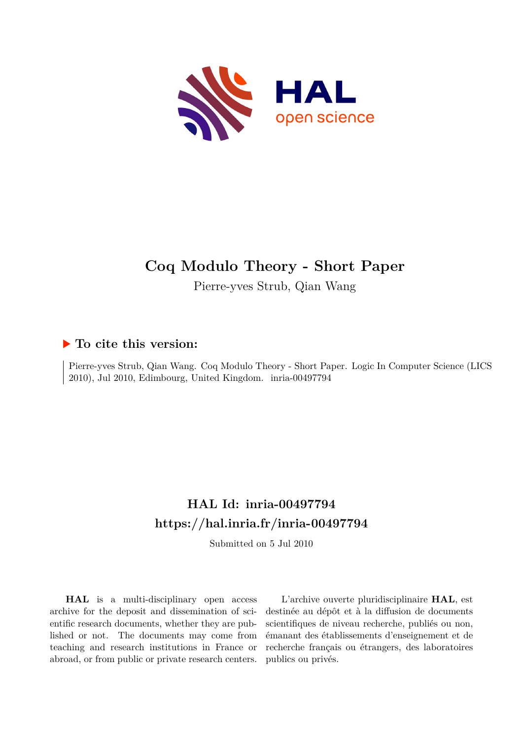

# **Coq Modulo Theory - Short Paper**

Pierre-yves Strub, Qian Wang

### **To cite this version:**

Pierre-yves Strub, Qian Wang. Coq Modulo Theory - Short Paper. Logic In Computer Science (LICS 2010), Jul 2010, Edimbourg, United Kingdom. inria-00497794

## **HAL Id: inria-00497794 <https://hal.inria.fr/inria-00497794>**

Submitted on 5 Jul 2010

**HAL** is a multi-disciplinary open access archive for the deposit and dissemination of scientific research documents, whether they are published or not. The documents may come from teaching and research institutions in France or abroad, or from public or private research centers.

L'archive ouverte pluridisciplinaire **HAL**, est destinée au dépôt et à la diffusion de documents scientifiques de niveau recherche, publiés ou non, émanant des établissements d'enseignement et de recherche français ou étrangers, des laboratoires publics ou privés.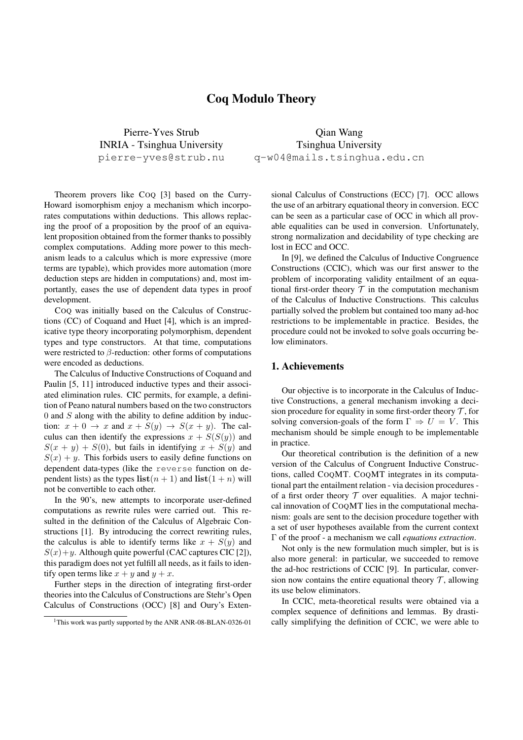#### Coq Modulo Theory

Pierre-Yves Strub INRIA - Tsinghua University pierre-yves@strub.nu

Theorem provers like COQ [3] based on the Curry-Howard isomorphism enjoy a mechanism which incorporates computations within deductions. This allows replacing the proof of a proposition by the proof of an equivalent proposition obtained from the former thanks to possibly complex computations. Adding more power to this mechanism leads to a calculus which is more expressive (more terms are typable), which provides more automation (more deduction steps are hidden in computations) and, most importantly, eases the use of dependent data types in proof development.

COQ was initially based on the Calculus of Constructions (CC) of Coquand and Huet [4], which is an impredicative type theory incorporating polymorphism, dependent types and type constructors. At that time, computations were restricted to *β*-reduction: other forms of computations were encoded as deductions.

The Calculus of Inductive Constructions of Coquand and Paulin [5, 11] introduced inductive types and their associated elimination rules. CIC permits, for example, a definition of Peano natural numbers based on the two constructors 0 and *S* along with the ability to define addition by induction:  $x + 0 \rightarrow x$  and  $x + S(y) \rightarrow S(x + y)$ . The calculus can then identify the expressions  $x + S(S(y))$  and  $S(x + y) + S(0)$ , but fails in identifying  $x + S(y)$  and  $S(x) + y$ . This forbids users to easily define functions on dependent data-types (like the reverse function on dependent lists) as the types  $\textbf{list}(n + 1)$  and  $\textbf{list}(1 + n)$  will not be convertible to each other.

In the 90's, new attempts to incorporate user-defined computations as rewrite rules were carried out. This resulted in the definition of the Calculus of Algebraic Constructions [1]. By introducing the correct rewriting rules, the calculus is able to identify terms like  $x + S(y)$  and  $S(x) + y$ . Although quite powerful (CAC captures CIC [2]), this paradigm does not yet fulfill all needs, as it fails to identify open terms like  $x + y$  and  $y + x$ .

Further steps in the direction of integrating first-order theories into the Calculus of Constructions are Stehr's Open Calculus of Constructions (OCC) [8] and Oury's Exten-

Qian Wang Tsinghua University q-w04@mails.tsinghua.edu.cn

sional Calculus of Constructions (ECC) [7]. OCC allows the use of an arbitrary equational theory in conversion. ECC can be seen as a particular case of OCC in which all provable equalities can be used in conversion. Unfortunately, strong normalization and decidability of type checking are lost in ECC and OCC.

In [9], we defined the Calculus of Inductive Congruence Constructions (CCIC), which was our first answer to the problem of incorporating validity entailment of an equational first-order theory  $T$  in the computation mechanism of the Calculus of Inductive Constructions. This calculus partially solved the problem but contained too many ad-hoc restrictions to be implementable in practice. Besides, the procedure could not be invoked to solve goals occurring below eliminators.

#### 1. Achievements

Our objective is to incorporate in the Calculus of Inductive Constructions, a general mechanism invoking a decision procedure for equality in some first-order theory  $\mathcal T$ , for solving conversion-goals of the form  $\Gamma \Rightarrow U = V$ . This mechanism should be simple enough to be implementable in practice.

Our theoretical contribution is the definition of a new version of the Calculus of Congruent Inductive Constructions, called COQMT. COQMT integrates in its computational part the entailment relation - via decision procedures of a first order theory  $T$  over equalities. A major technical innovation of COQMT lies in the computational mechanism: goals are sent to the decision procedure together with a set of user hypotheses available from the current context Γ of the proof - a mechanism we call *equations extraction*.

Not only is the new formulation much simpler, but is is also more general: in particular, we succeeded to remove the ad-hoc restrictions of CCIC [9]. In particular, conversion now contains the entire equational theory  $\mathcal{T}$ , allowing its use below eliminators.

In CCIC, meta-theoretical results were obtained via a complex sequence of definitions and lemmas. By drastically simplifying the definition of CCIC, we were able to

<sup>&</sup>lt;sup>1</sup>This work was partly supported by the ANR ANR-08-BLAN-0326-01